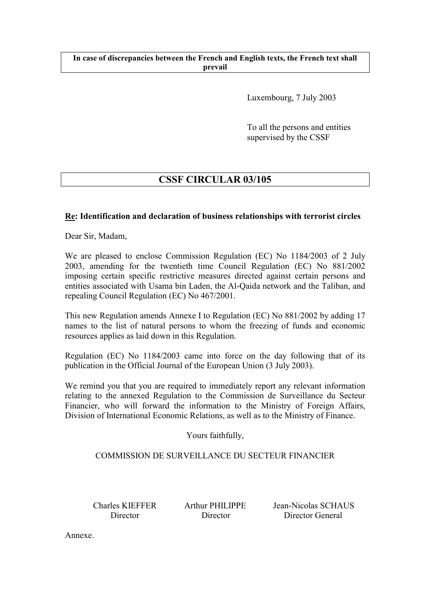### **In case of discrepancies between the French and English texts, the French text shall prevail**

Luxembourg, 7 July 2003

To all the persons and entities supervised by the CSSF

# **CSSF CIRCULAR 03/105**

## **Re: Identification and declaration of business relationships with terrorist circles**

Dear Sir, Madam,

We are pleased to enclose Commission Regulation (EC) No 1184/2003 of 2 July 2003, amending for the twentieth time Council Regulation (EC) No 881/2002 imposing certain specific restrictive measures directed against certain persons and entities associated with Usama bin Laden, the Al-Qaida network and the Taliban, and repealing Council Regulation (EC) No 467/2001.

This new Regulation amends Annexe I to Regulation (EC) No 881/2002 by adding 17 names to the list of natural persons to whom the freezing of funds and economic resources applies as laid down in this Regulation.

Regulation (EC) No 1184/2003 came into force on the day following that of its publication in the Official Journal of the European Union (3 July 2003).

We remind you that you are required to immediately report any relevant information relating to the annexed Regulation to the Commission de Surveillance du Secteur Financier, who will forward the information to the Ministry of Foreign Affairs, Division of International Economic Relations, as well as to the Ministry of Finance.

Yours faithfully,

# COMMISSION DE SURVEILLANCE DU SECTEUR FINANCIER

 Charles KIEFFER Arthur PHILIPPE Jean-Nicolas SCHAUS Director Director Director General

Annexe.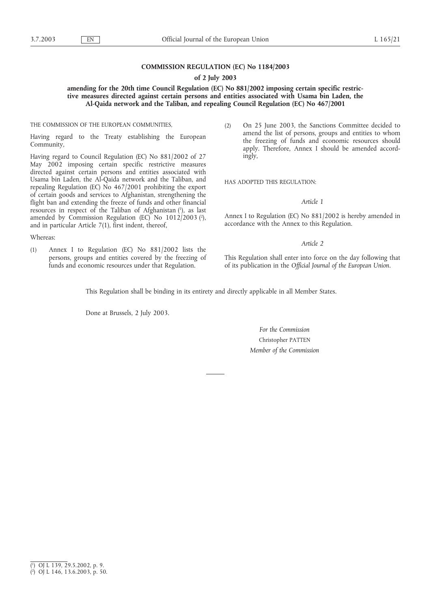#### **COMMISSION REGULATION (EC) No 1184/2003**

#### **of 2 July 2003**

#### **amending for the 20th time Council Regulation (EC) No 881/2002 imposing certain specific restrictive measures directed against certain persons and entities associated with Usama bin Laden, the Al-Qaida network and the Taliban, and repealing Council Regulation (EC) No 467/2001**

#### THE COMMISSION OF THE EUROPEAN COMMUNITIES,

Having regard to the Treaty establishing the European Community,

Having regard to Council Regulation (EC) No 881/2002 of 27 May 2002 imposing certain specific restrictive measures directed against certain persons and entities associated with Usama bin Laden, the Al-Qaida network and the Taliban, and repealing Regulation (EC) No 467/2001 prohibiting the export of certain goods and services to Afghanistan, strengthening the flight ban and extending the freeze of funds and other financial resources in respect of the Taliban of Afghanistan (1), as last amended by Commission Regulation (EC) No 1012/2003 (2 ), and in particular Article 7(1), first indent, thereof,

#### Whereas:

(1) Annex I to Regulation (EC) No 881/2002 lists the persons, groups and entities covered by the freezing of funds and economic resources under that Regulation.

(2) On 25 June 2003, the Sanctions Committee decided to amend the list of persons, groups and entities to whom the freezing of funds and economic resources should apply. Therefore, Annex I should be amended accordingly,

HAS ADOPTED THIS REGULATION:

#### *Article 1*

Annex I to Regulation (EC) No 881/2002 is hereby amended in accordance with the Annex to this Regulation.

#### *Article 2*

This Regulation shall enter into force on the day following that of its publication in the *Official Journal of the European Union*.

This Regulation shall be binding in its entirety and directly applicable in all Member States.

Done at Brussels, 2 July 2003.

### *For the Commission* Christopher PATTEN *Member of the Commission*

<sup>(</sup> 1 ) OJ L 139, 29.5.2002, p. 9.

<sup>(</sup> 2 ) OJ L 146, 13.6.2003, p. 50.